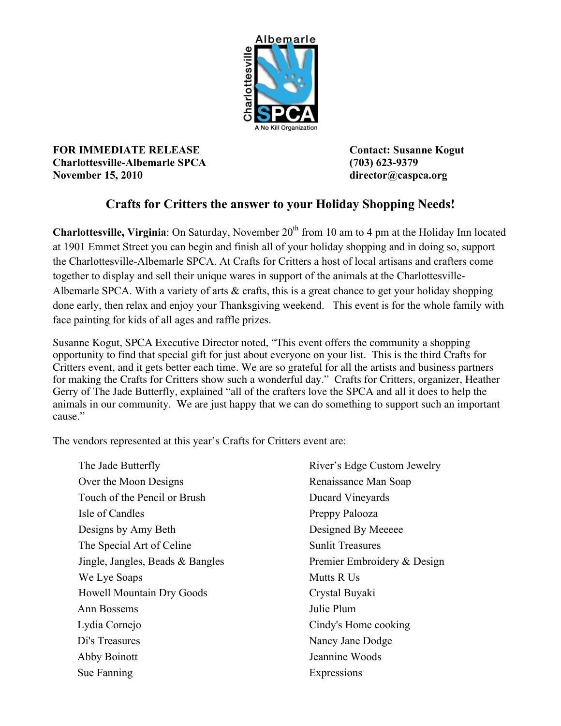

**FOR IMMEDIATE RELEASE Contact: Susanne Kogut Charlottesville-Albemarle SPCA (703) 623-9379 November 15, 2010 director@caspca.org**

## **Crafts for Critters the answer to your Holiday Shopping Needs!**

**Charlottesville, Virginia**: On Saturday, November 20<sup>th</sup> from 10 am to 4 pm at the Holiday Inn located at 1901 Emmet Street you can begin and finish all of your holiday shopping and in doing so, support the Charlottesville-Albemarle SPCA. At Crafts for Critters a host of local artisans and crafters come together to display and sell their unique wares in support of the animals at the Charlottesville-Albemarle SPCA. With a variety of arts & crafts, this is a great chance to get your holiday shopping done early, then relax and enjoy your Thanksgiving weekend. This event is for the whole family with face painting for kids of all ages and raffle prizes.

Susanne Kogut, SPCA Executive Director noted, "This event offers the community a shopping opportunity to find that special gift for just about everyone on your list. This is the third Crafts for Critters event, and it gets better each time. We are so grateful for all the artists and business partners for making the Crafts for Critters show such a wonderful day." Crafts for Critters, organizer, Heather Gerry of The Jade Butterfly, explained "all of the crafters love the SPCA and all it does to help the animals in our community. We are just happy that we can do something to support such an important cause."

The vendors represented at this year's Crafts for Critters event are:

The Jade Butterfly The Jackson Jewelry River's Edge Custom Jewelry Over the Moon Designs Renaissance Man Soap Touch of the Pencil or Brush Ducard Vineyards Isle of Candles Preppy Palooza Designs by Amy Beth Designed By Meeeee The Special Art of Celine Sunlit Treasures Jingle, Jangles, Beads & Bangles Premier Embroidery & Design We Lye Soaps Mutts R Us Howell Mountain Dry Goods Crystal Buyaki Ann Bossems Julie Plum Lydia Cornejo Cindy's Home cooking Di's Treasures Nancy Jane Dodge Abby Boinott Jeannine Woods Sue Fanning Expressions